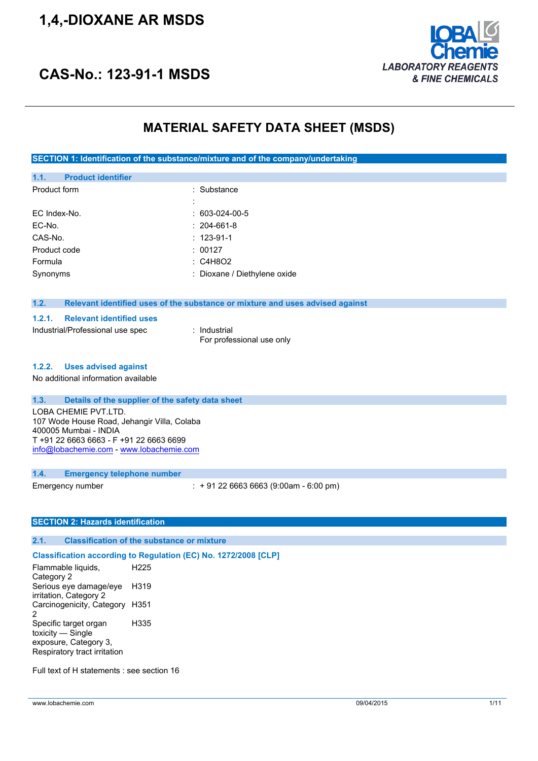# **1,4,-DIOXANE AR MSDS**



# **CAS-No.: 123-91-1 MSDS**

## **MATERIAL SAFETY DATA SHEET (MSDS)**

**SECTION 1: Identification of the substance/mixture and of the company/undertaking**

| 1.1.         | <b>Product identifier</b> |                              |
|--------------|---------------------------|------------------------------|
| Product form |                           | : Substance                  |
|              |                           |                              |
| EC Index-No. |                           | $: 603-024-00-5$             |
| EC-No.       |                           | $: 204-661-8$                |
| CAS-No.      |                           | $: 123-91-1$                 |
| Product code |                           | : 00127                      |
| Formula      |                           | $\therefore$ C4H8O2          |
| Synonyms     |                           | : Dioxane / Diethylene oxide |
|              |                           |                              |

### **1.2. Relevant identified uses of the substance or mixture and uses advised against**

#### **1.2.1. Relevant identified uses**

Industrial/Professional use spec : Industrial

For professional use only

#### **1.2.2. Uses advised against**

No additional information available

#### **1.3. Details of the supplier of the safety data sheet**

LOBA CHEMIE PVT.LTD. 107 Wode House Road, Jehangir Villa, Colaba 400005 Mumbai - INDIA T +91 22 6663 6663 - F +91 22 6663 6699 [info@lobachemie.com](mailto:info@lobachemie.com) - <www.lobachemie.com>

#### **1.4. Emergency telephone number**

Emergency number : + 91 22 6663 6663 (9:00am - 6:00 pm)

#### **SECTION 2: Hazards identification**

#### **2.1. Classification of the substance or mixture**

### **Classification according to Regulation (EC) No. 1272/2008 [CLP]**

Flammable liquids, Category 2 H225 Serious eye damage/eye irritation, Category 2 H319 Carcinogenicity, Category H351 2 Specific target organ toxicity — Single exposure, Category 3, Respiratory tract irritation H335

Full text of H statements : see section 16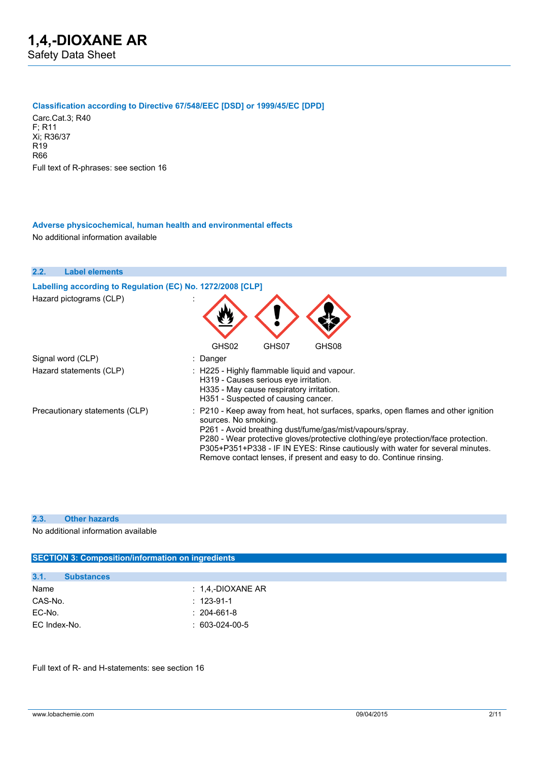#### **Classification according to Directive 67/548/EEC [DSD] or 1999/45/EC [DPD]**

Carc.Cat.3; R40 F; R11 Xi; R36/37 R19 R66 Full text of R-phrases: see section 16

#### **Adverse physicochemical, human health and environmental effects** No additional information available



#### **2.3. Other hazards**

No additional information available

## **SECTION 3: Composition/information on ingredients 3.1. Substances** Name : 1,4,-DIOXANE AR CAS-No. : 123-91-1 EC-No. : 204-661-8 EC Index-No. : 603-024-00-5

Full text of R- and H-statements: see section 16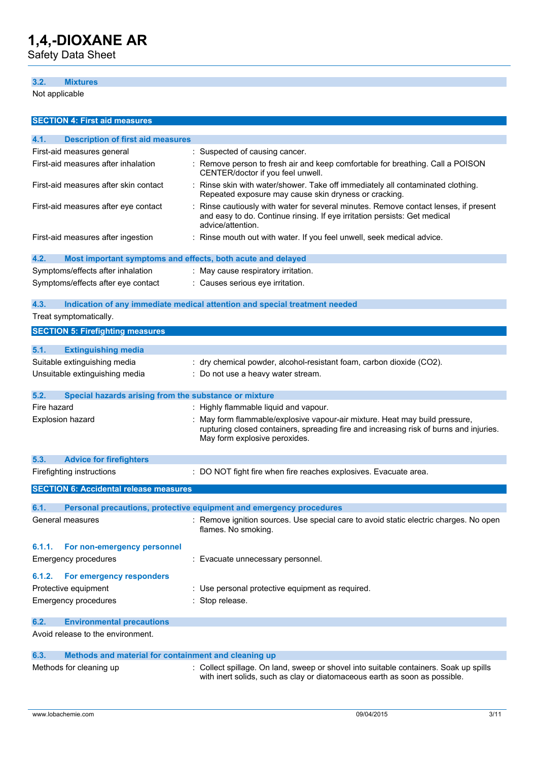Safety Data Sheet

### **3.2. Mixtures**

Not applicable

| <b>SECTION 4: First aid measures</b>                                |                                                                                                                                                                                                        |
|---------------------------------------------------------------------|--------------------------------------------------------------------------------------------------------------------------------------------------------------------------------------------------------|
| 4.1.<br><b>Description of first aid measures</b>                    |                                                                                                                                                                                                        |
| First-aid measures general                                          | : Suspected of causing cancer.                                                                                                                                                                         |
| First-aid measures after inhalation                                 | : Remove person to fresh air and keep comfortable for breathing. Call a POISON<br>CENTER/doctor if you feel unwell.                                                                                    |
| First-aid measures after skin contact                               | : Rinse skin with water/shower. Take off immediately all contaminated clothing.<br>Repeated exposure may cause skin dryness or cracking.                                                               |
| First-aid measures after eye contact                                | Rinse cautiously with water for several minutes. Remove contact lenses, if present<br>and easy to do. Continue rinsing. If eye irritation persists: Get medical<br>advice/attention.                   |
| First-aid measures after ingestion                                  | : Rinse mouth out with water. If you feel unwell, seek medical advice.                                                                                                                                 |
| 4.2.<br>Most important symptoms and effects, both acute and delayed |                                                                                                                                                                                                        |
| Symptoms/effects after inhalation                                   | : May cause respiratory irritation.                                                                                                                                                                    |
| Symptoms/effects after eye contact                                  | : Causes serious eye irritation.                                                                                                                                                                       |
| 4.3.                                                                | Indication of any immediate medical attention and special treatment needed                                                                                                                             |
| Treat symptomatically.                                              |                                                                                                                                                                                                        |
| <b>SECTION 5: Firefighting measures</b>                             |                                                                                                                                                                                                        |
| 5.1.<br><b>Extinguishing media</b>                                  |                                                                                                                                                                                                        |
| Suitable extinguishing media                                        | : dry chemical powder, alcohol-resistant foam, carbon dioxide (CO2).                                                                                                                                   |
| Unsuitable extinguishing media                                      | : Do not use a heavy water stream.                                                                                                                                                                     |
|                                                                     |                                                                                                                                                                                                        |
| 5.2.<br>Special hazards arising from the substance or mixture       |                                                                                                                                                                                                        |
| Fire hazard                                                         | : Highly flammable liquid and vapour.                                                                                                                                                                  |
| Explosion hazard                                                    | : May form flammable/explosive vapour-air mixture. Heat may build pressure,<br>rupturing closed containers, spreading fire and increasing risk of burns and injuries.<br>May form explosive peroxides. |
| 5.3.<br><b>Advice for firefighters</b>                              |                                                                                                                                                                                                        |
| Firefighting instructions                                           | : DO NOT fight fire when fire reaches explosives. Evacuate area.                                                                                                                                       |
| <b>SECTION 6: Accidental release measures</b>                       |                                                                                                                                                                                                        |
| 6.1.                                                                | Personal precautions, protective equipment and emergency procedures                                                                                                                                    |
|                                                                     | : Remove ignition sources. Use special care to avoid static electric charges. No open                                                                                                                  |
| General measures                                                    | flames. No smoking.                                                                                                                                                                                    |
| 6.1.1.<br>For non-emergency personnel                               |                                                                                                                                                                                                        |
| <b>Emergency procedures</b>                                         | : Evacuate unnecessary personnel.                                                                                                                                                                      |
| 6.1.2.<br>For emergency responders                                  |                                                                                                                                                                                                        |
| Protective equipment                                                | : Use personal protective equipment as required.                                                                                                                                                       |
| <b>Emergency procedures</b>                                         | : Stop release.                                                                                                                                                                                        |
| 6.2.<br><b>Environmental precautions</b>                            |                                                                                                                                                                                                        |
| Avoid release to the environment.                                   |                                                                                                                                                                                                        |
| Methods and material for containment and cleaning up<br>6.3.        |                                                                                                                                                                                                        |
| Methods for cleaning up                                             | : Collect spillage. On land, sweep or shovel into suitable containers. Soak up spills<br>with inert solids, such as clay or diatomaceous earth as soon as possible.                                    |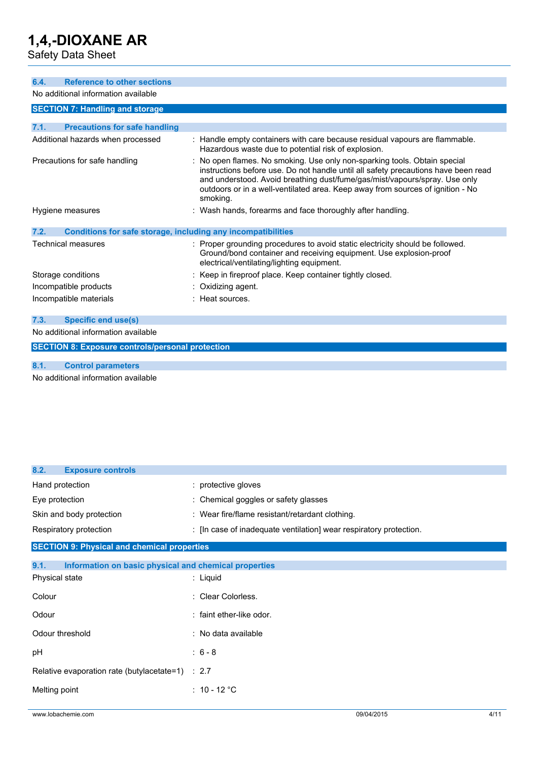Safety Data Sheet

| <b>Reference to other sections</b><br>6.4.                                                                                                                                                                                                                                                                                                                                   |                                                                                                                                                                                                   |  |  |  |
|------------------------------------------------------------------------------------------------------------------------------------------------------------------------------------------------------------------------------------------------------------------------------------------------------------------------------------------------------------------------------|---------------------------------------------------------------------------------------------------------------------------------------------------------------------------------------------------|--|--|--|
| No additional information available                                                                                                                                                                                                                                                                                                                                          |                                                                                                                                                                                                   |  |  |  |
| <b>SECTION 7: Handling and storage</b>                                                                                                                                                                                                                                                                                                                                       |                                                                                                                                                                                                   |  |  |  |
|                                                                                                                                                                                                                                                                                                                                                                              |                                                                                                                                                                                                   |  |  |  |
| 7.1.<br><b>Precautions for safe handling</b>                                                                                                                                                                                                                                                                                                                                 |                                                                                                                                                                                                   |  |  |  |
| Additional hazards when processed                                                                                                                                                                                                                                                                                                                                            | : Handle empty containers with care because residual vapours are flammable.<br>Hazardous waste due to potential risk of explosion.                                                                |  |  |  |
| : No open flames. No smoking. Use only non-sparking tools. Obtain special<br>Precautions for safe handling<br>instructions before use. Do not handle until all safety precautions have been read<br>and understood. Avoid breathing dust/fume/gas/mist/vapours/spray. Use only<br>outdoors or in a well-ventilated area. Keep away from sources of ignition - No<br>smoking. |                                                                                                                                                                                                   |  |  |  |
| Hygiene measures                                                                                                                                                                                                                                                                                                                                                             | : Wash hands, forearms and face thoroughly after handling.                                                                                                                                        |  |  |  |
| <b>Conditions for safe storage, including any incompatibilities</b><br>7.2.                                                                                                                                                                                                                                                                                                  |                                                                                                                                                                                                   |  |  |  |
| Technical measures                                                                                                                                                                                                                                                                                                                                                           | : Proper grounding procedures to avoid static electricity should be followed.<br>Ground/bond container and receiving equipment. Use explosion-proof<br>electrical/ventilating/lighting equipment. |  |  |  |
| Storage conditions                                                                                                                                                                                                                                                                                                                                                           | : Keep in fireproof place. Keep container tightly closed.                                                                                                                                         |  |  |  |
| Incompatible products                                                                                                                                                                                                                                                                                                                                                        | : Oxidizing agent.                                                                                                                                                                                |  |  |  |
| Incompatible materials                                                                                                                                                                                                                                                                                                                                                       | : Heat sources.                                                                                                                                                                                   |  |  |  |
| 7.3.<br><b>Specific end use(s)</b>                                                                                                                                                                                                                                                                                                                                           |                                                                                                                                                                                                   |  |  |  |
| No additional information available                                                                                                                                                                                                                                                                                                                                          |                                                                                                                                                                                                   |  |  |  |
| <b>SECTION 8: Exposure controls/personal protection</b>                                                                                                                                                                                                                                                                                                                      |                                                                                                                                                                                                   |  |  |  |
|                                                                                                                                                                                                                                                                                                                                                                              |                                                                                                                                                                                                   |  |  |  |

**8.1. Control parameters**

No additional information available

| 8.2.<br><b>Exposure controls</b>                              |                                                                    |  |
|---------------------------------------------------------------|--------------------------------------------------------------------|--|
| Hand protection                                               | : protective gloves                                                |  |
| Eye protection                                                | : Chemical goggles or safety glasses                               |  |
| Skin and body protection                                      | : Wear fire/flame resistant/retardant clothing.                    |  |
| Respiratory protection                                        | : [In case of inadequate ventilation] wear respiratory protection. |  |
| <b>SECTION 9: Physical and chemical properties</b>            |                                                                    |  |
| 9.1.<br>Information on basic physical and chemical properties |                                                                    |  |
| Physical state                                                | : Liquid                                                           |  |
| Colour                                                        | : Clear Colorless.                                                 |  |
| Odour                                                         | : faint ether-like odor.                                           |  |
| Odour threshold                                               | : No data available                                                |  |
| рH                                                            | $: 6 - 8$                                                          |  |
| Relative evaporation rate (butylacetate=1) : 2.7              |                                                                    |  |
| Melting point                                                 | : 10 - 12 $^{\circ}$ C                                             |  |
|                                                               |                                                                    |  |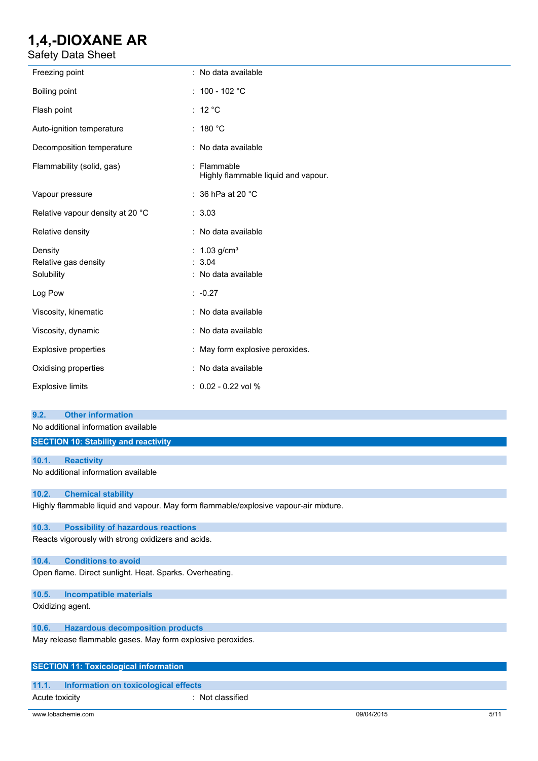Safety Data Sheet

| Freezing point                                | : No data available                                         |
|-----------------------------------------------|-------------------------------------------------------------|
| Boiling point                                 | : $100 - 102 °C$                                            |
| Flash point                                   | : $12 °C$                                                   |
| Auto-ignition temperature                     | : $180 °C$                                                  |
| Decomposition temperature                     | : No data available                                         |
| Flammability (solid, gas)                     | : Flammable<br>Highly flammable liquid and vapour.          |
| Vapour pressure                               | : 36 hPa at 20 °C                                           |
| Relative vapour density at 20 °C              | : 3.03                                                      |
| Relative density                              | : No data available                                         |
| Density<br>Relative gas density<br>Solubility | : $1.03$ g/cm <sup>3</sup><br>: 3.04<br>: No data available |
| Log Pow                                       | $: -0.27$                                                   |
| Viscosity, kinematic                          | : No data available                                         |
| Viscosity, dynamic                            | : No data available                                         |
| <b>Explosive properties</b>                   | : May form explosive peroxides.                             |
| Oxidising properties                          | : No data available                                         |
| <b>Explosive limits</b>                       | : 0.02 - 0.22 vol %                                         |

#### **9.2. Other information**

No additional information available

## **SECTION 10: Stability and reactivity**

### **10.1. Reactivity**

No additional information available

#### **10.2. Chemical stability**

Highly flammable liquid and vapour. May form flammable/explosive vapour-air mixture.

#### **10.3. Possibility of hazardous reactions**

Reacts vigorously with strong oxidizers and acids.

#### **10.4. Conditions to avoid**

Open flame. Direct sunlight. Heat. Sparks. Overheating.

#### **10.5. Incompatible materials**

Oxidizing agent.

### **10.6. Hazardous decomposition products**

May release flammable gases. May form explosive peroxides.

### **SECTION 11: Toxicological information**

## **11.1. Information on toxicological effects**

Acute toxicity : Not classified

www.lobachemie.com 09/04/2015 5/11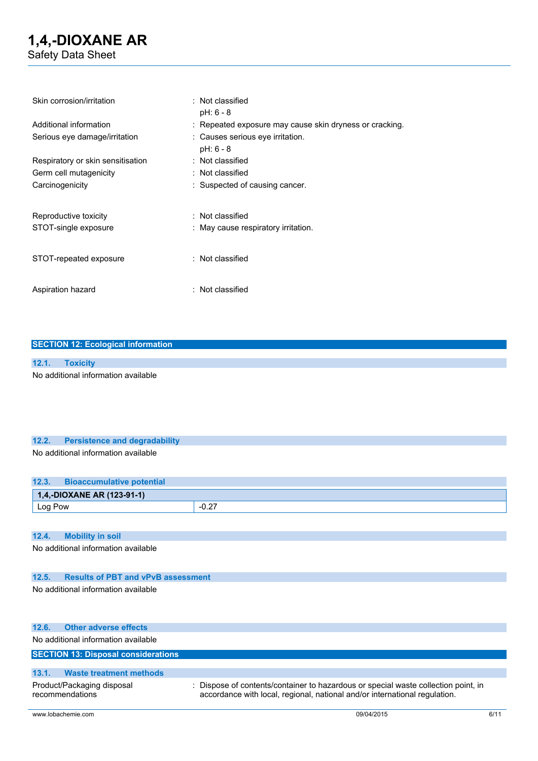| Skin corrosion/irritation         | : Not classified<br>$pH: 6 - 8$                         |
|-----------------------------------|---------------------------------------------------------|
| Additional information            | : Repeated exposure may cause skin dryness or cracking. |
| Serious eye damage/irritation     | : Causes serious eye irritation.<br>$pH: 6 - 8$         |
| Respiratory or skin sensitisation | : Not classified                                        |
| Germ cell mutagenicity            | : Not classified                                        |
| Carcinogenicity                   | : Suspected of causing cancer.                          |
| Reproductive toxicity             | : Not classified                                        |
| STOT-single exposure              | : May cause respiratory irritation.                     |
| STOT-repeated exposure            | : Not classified                                        |
| Aspiration hazard                 | : Not classified                                        |

### **SECTION 12: Ecological information**

# **12.1. Toxicity**

No additional information available

# **12.2. Persistence and degradability**

## No additional information available

| 12.3.   | <b>Bioaccumulative potential</b> |         |
|---------|----------------------------------|---------|
|         | $1,4,-$ DIOXANE AR (123-91-1)    |         |
| Log Pow |                                  | $-0.27$ |

#### **12.4. Mobility in soil**

No additional information available

### **12.5. Results of PBT and vPvB assessment**

No additional information available

### **12.6. Other adverse effects**

No additional information available

### **SECTION 13: Disposal considerations**

#### **13.1. Waste treatment methods** Product/Packaging disposal : Dispose of contents/container to hazardous or special waste collection point, in

recommendations accordance with local, regional, national and/or international regulation.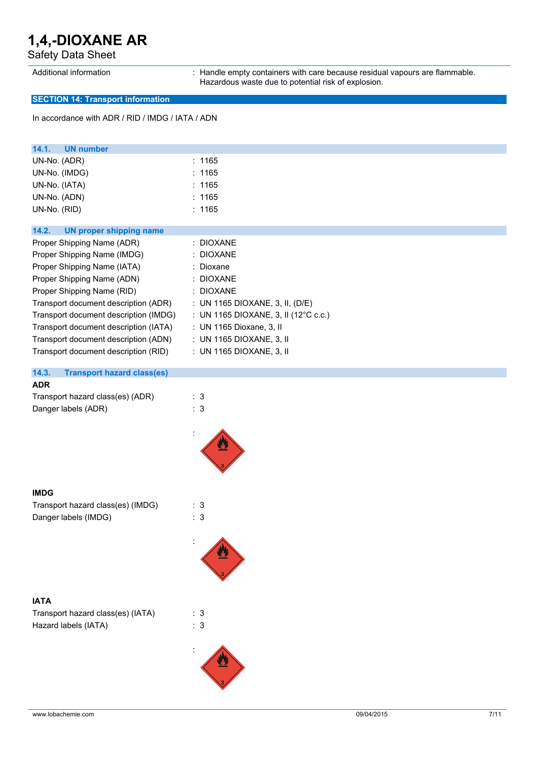Safety Data Sheet

Additional information : Handle empty containers with care because residual vapours are flammable. Hazardous waste due to potential risk of explosion.

### **SECTION 14: Transport information**

In accordance with ADR / RID / IMDG / IATA / ADN

| 14.1.<br><b>UN number</b>                  |                                                 |
|--------------------------------------------|-------------------------------------------------|
| UN-No. (ADR)                               | : 1165                                          |
| UN-No. (IMDG)                              | : 1165                                          |
| UN-No. (IATA)                              | : 1165                                          |
| UN-No. (ADN)                               | : 1165                                          |
| UN-No. (RID)                               | : 1165                                          |
|                                            |                                                 |
| 14.2.<br><b>UN proper shipping name</b>    |                                                 |
| Proper Shipping Name (ADR)                 | : DIOXANE                                       |
| Proper Shipping Name (IMDG)                | : DIOXANE                                       |
| Proper Shipping Name (IATA)                | : Dioxane                                       |
| Proper Shipping Name (ADN)                 | : DIOXANE                                       |
| Proper Shipping Name (RID)                 | : DIOXANE                                       |
| Transport document description (ADR)       | : UN 1165 DIOXANE, 3, II, (D/E)                 |
| Transport document description (IMDG)      | : UN 1165 DIOXANE, 3, II (12 $^{\circ}$ C c.c.) |
| Transport document description (IATA)      | : UN 1165 Dioxane, 3, II                        |
| Transport document description (ADN)       | : UN 1165 DIOXANE, 3, II                        |
| Transport document description (RID)       | : UN 1165 DIOXANE, 3, II                        |
|                                            |                                                 |
| 14.3.<br><b>Transport hazard class(es)</b> |                                                 |
| <b>ADR</b>                                 |                                                 |
| Transport hazard class(es) (ADR)           | $\therefore$ 3                                  |
| Danger labels (ADR)                        | : 3                                             |
|                                            |                                                 |
|                                            |                                                 |
|                                            |                                                 |
|                                            |                                                 |
|                                            |                                                 |

#### **IMDG**

Transport hazard class(es) (IMDG) : 3 Danger labels (IMDG)  $\qquad \qquad$  : 3

## **IATA**

Transport hazard class(es) (IATA) : 3 Hazard labels (IATA) : 3

:



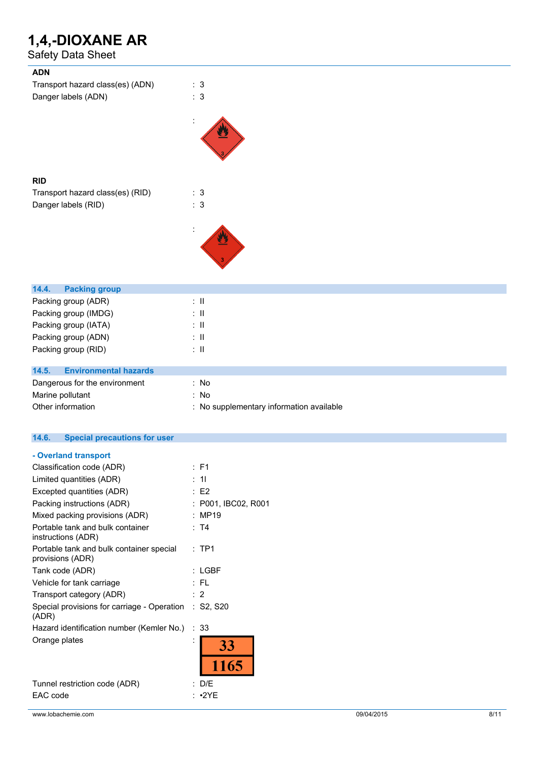Safety Data Sheet

| <b>ADN</b>                            |                                          |
|---------------------------------------|------------------------------------------|
| Transport hazard class(es) (ADN)      | : 3                                      |
| Danger labels (ADN)                   | $\therefore$ 3                           |
|                                       |                                          |
|                                       |                                          |
| <b>RID</b>                            |                                          |
| Transport hazard class(es) (RID)      | : 3                                      |
| Danger labels (RID)                   | $\therefore$ 3                           |
|                                       |                                          |
|                                       |                                          |
| 14.4.<br><b>Packing group</b>         |                                          |
| Packing group (ADR)                   | $\therefore$ $\blacksquare$              |
| Packing group (IMDG)                  | $\therefore$ II                          |
| Packing group (IATA)                  | $\therefore$ II                          |
| Packing group (ADN)                   | $\therefore$ 11                          |
| Packing group (RID)                   | $\therefore$ H                           |
| <b>Environmental hazards</b><br>14.5. |                                          |
| Dangerous for the environment         | : No                                     |
| Marine pollutant                      | : No                                     |
| Other information                     | : No supplementary information available |
|                                       |                                          |

|  | 14.6. |  | <b>Special precautions for user</b> |  |  |
|--|-------|--|-------------------------------------|--|--|
|--|-------|--|-------------------------------------|--|--|

### **- Overland transport**

| Classification code (ADR)                                      |           | : F1                |
|----------------------------------------------------------------|-----------|---------------------|
| Limited quantities (ADR)                                       |           | : 11                |
| Excepted quantities (ADR)                                      |           | $E$ F2              |
| Packing instructions (ADR)                                     |           | : P001, IBC02, R001 |
| Mixed packing provisions (ADR)                                 |           | MP19                |
| Portable tank and bulk container<br>instructions (ADR)         |           | : T4                |
| Portable tank and bulk container special<br>provisions (ADR)   |           | $:$ TP1             |
| Tank code (ADR)                                                |           | : LGBF              |
| Vehicle for tank carriage                                      |           | : FL                |
| Transport category (ADR)                                       | $\cdot$ 2 |                     |
| Special provisions for carriage - Operation : S2, S20<br>(ADR) |           |                     |
| Hazard identification number (Kemler No.)                      |           | :33                 |
| Orange plates                                                  |           | <b>33</b>           |
|                                                                |           | 1165                |
| Tunnel restriction code (ADR)                                  |           | D/E                 |
| EAC code                                                       |           | $\cdot$ 2YF         |
|                                                                |           |                     |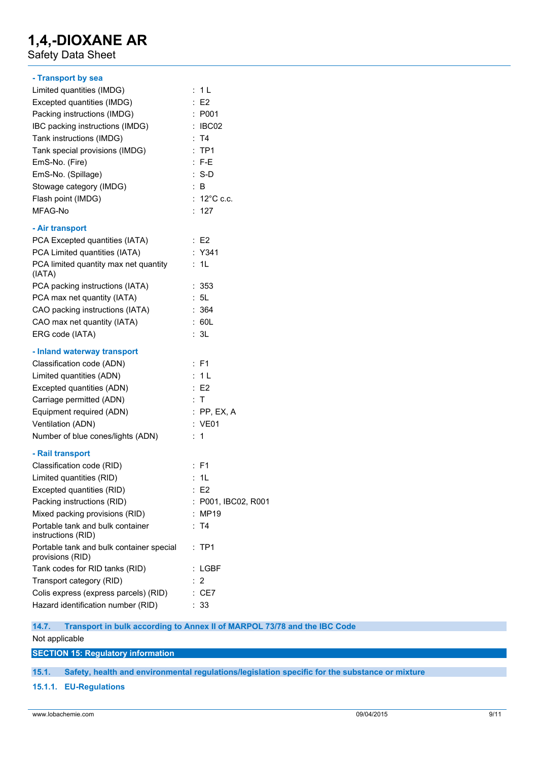Safety Data Sheet

| - Transport by sea                                           |                       |
|--------------------------------------------------------------|-----------------------|
| Limited quantities (IMDG)                                    | : 1 L                 |
| Excepted quantities (IMDG)                                   | E2                    |
| Packing instructions (IMDG)                                  | : P001                |
| IBC packing instructions (IMDG)                              | : IBCO2               |
| Tank instructions (IMDG)                                     | : T4                  |
| Tank special provisions (IMDG)                               | :TP1                  |
| EmS-No. (Fire)                                               | $: F-E$               |
| EmS-No. (Spillage)                                           | $: S-D$               |
| Stowage category (IMDG)                                      | : B                   |
| Flash point (IMDG)                                           | : $12^{\circ}$ C c.c. |
| MFAG-No                                                      | : 127                 |
| - Air transport                                              |                       |
| PCA Excepted quantities (IATA)                               | : E2                  |
| PCA Limited quantities (IATA)                                | $:$ Y341              |
| PCA limited quantity max net quantity<br>(IATA)              | : 1L                  |
| PCA packing instructions (IATA)                              | : 353                 |
| PCA max net quantity (IATA)                                  | : 5L                  |
| CAO packing instructions (IATA)                              | : 364                 |
| CAO max net quantity (IATA)                                  | : 60L                 |
| ERG code (IATA)                                              | : 3L                  |
| - Inland waterway transport                                  |                       |
| Classification code (ADN)                                    | : F1                  |
| Limited quantities (ADN)                                     | : 1L                  |
| Excepted quantities (ADN)                                    | E2                    |
| Carriage permitted (ADN)                                     | ÷Т                    |
| Equipment required (ADN)                                     | $:$ PP, EX, A         |
| Ventilation (ADN)                                            | : VE01                |
| Number of blue cones/lights (ADN)                            | ÷.<br>1               |
| - Rail transport                                             |                       |
| Classification code (RID)                                    | $:$ F1                |
| Limited quantities (RID)                                     | : 11                  |
| Excepted quantities (RID)                                    | : E2                  |
| Packing instructions (RID)                                   | : P001, IBC02, R001   |
| Mixed packing provisions (RID)                               | <b>MP19</b>           |
| Portable tank and bulk container<br>instructions (RID)       | : T4                  |
| Portable tank and bulk container special<br>provisions (RID) | : TP1                 |
| Tank codes for RID tanks (RID)                               | $:$ LGBF              |
| Transport category (RID)                                     | 2                     |
| Colis express (express parcels) (RID)                        | $:$ CE7               |
| Hazard identification number (RID)                           | : 33                  |

**14.7. Transport in bulk according to Annex II of MARPOL 73/78 and the IBC Code** Not applicable

**SECTION 15: Regulatory information**

**15.1. Safety, health and environmental regulations/legislation specific for the substance or mixture**

**15.1.1. EU-Regulations**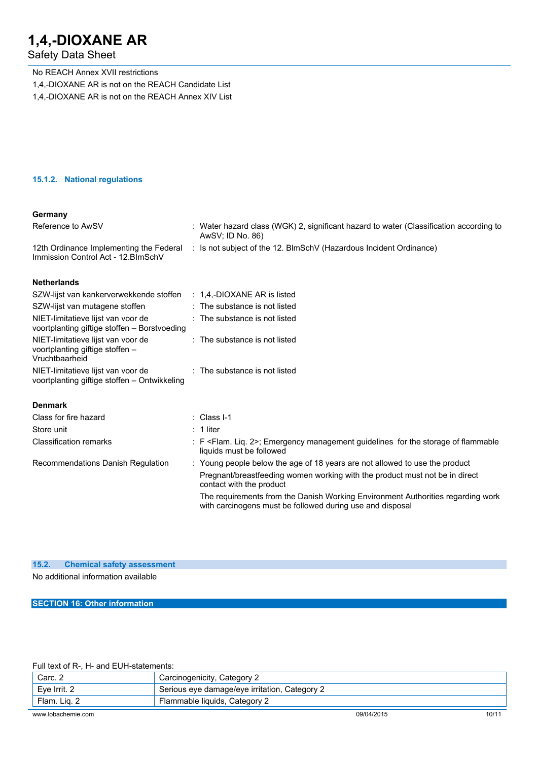## Safety Data Sheet

No REACH Annex XVII restrictions

- 1,4,-DIOXANE AR is not on the REACH Candidate List
- 1,4,-DIOXANE AR is not on the REACH Annex XIV List

#### **15.1.2. National regulations**

## **Germany**

| Reference to AwSV                                                                       | : Water hazard class (WGK) 2, significant hazard to water (Classification according to<br>AwSV; ID No. 86)                                   |
|-----------------------------------------------------------------------------------------|----------------------------------------------------------------------------------------------------------------------------------------------|
| 12th Ordinance Implementing the Federal<br>Immission Control Act - 12. BlmSchV          | : Is not subject of the 12. BlmSchV (Hazardous Incident Ordinance)                                                                           |
| <b>Netherlands</b>                                                                      |                                                                                                                                              |
| SZW-lijst van kankerverwekkende stoffen : 1,4,-DIOXANE AR is listed                     |                                                                                                                                              |
| SZW-lijst van mutagene stoffen                                                          | : The substance is not listed                                                                                                                |
| NIET-limitatieve lijst van voor de<br>voortplanting giftige stoffen - Borstvoeding      | : The substance is not listed                                                                                                                |
| NIET-limitatieve lijst van voor de<br>voortplanting giftige stoffen -<br>Vruchtbaarheid | : The substance is not listed                                                                                                                |
| NIET-limitatieve lijst van voor de<br>voortplanting giftige stoffen - Ontwikkeling      | : The substance is not listed                                                                                                                |
| <b>Denmark</b>                                                                          |                                                                                                                                              |
| Class for fire hazard                                                                   | $\therefore$ Class I-1                                                                                                                       |
| Store unit                                                                              | $: 1$ liter                                                                                                                                  |
| <b>Classification remarks</b>                                                           | : F <flam. 2="" liq.="">; Emergency management guidelines for the storage of flammable<br/>liquids must be followed</flam.>                  |
| Recommendations Danish Regulation                                                       | : Young people below the age of 18 years are not allowed to use the product                                                                  |
|                                                                                         | Pregnant/breastfeeding women working with the product must not be in direct<br>contact with the product                                      |
|                                                                                         | The requirements from the Danish Working Environment Authorities regarding work<br>with carcinogens must be followed during use and disposal |

# **15.2. Chemical safety assessment**

No additional information available

**SECTION 16: Other information**

Full text of R-, H- and EUH-statements:

| Carc. 2            | Carcinogenicity, Category 2                   |            |       |
|--------------------|-----------------------------------------------|------------|-------|
| Eve Irrit, 2       | Serious eye damage/eye irritation, Category 2 |            |       |
| Flam. Lig. 2       | Flammable liquids, Category 2                 |            |       |
| www.lobachemie.com |                                               | 09/04/2015 | 10/11 |